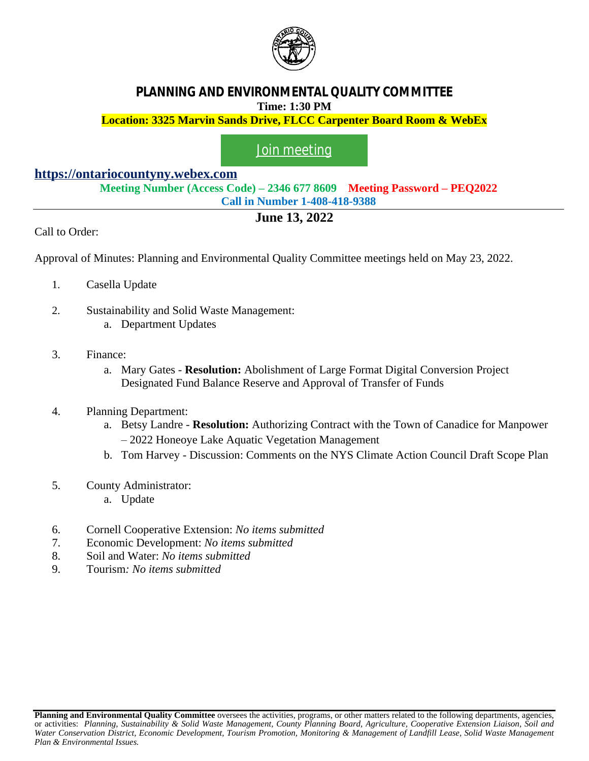

## **PLANNING AND ENVIRONMENTAL QUALITY COMMITTEE Time: 1:30 PM**

**Location: 3325 Marvin Sands Drive, FLCC Carpenter Board Room & WebEx**

## [Join meeting](https://ontariocountyny.webex.com/)

## **<https://ontariocountyny.webex.com>**

**Meeting Number (Access Code) – 2346 677 8609 Meeting Password – PEQ2022 Call in Number 1-408-418-9388**

## **June 13, 2022**

Call to Order:

Approval of Minutes: Planning and Environmental Quality Committee meetings held on May 23, 2022.

- 1. Casella Update
- 2. Sustainability and Solid Waste Management:
	- a. Department Updates
- 3. Finance:
	- a. Mary Gates **Resolution:** Abolishment of Large Format Digital Conversion Project Designated Fund Balance Reserve and Approval of Transfer of Funds
- 4. Planning Department:
	- a. Betsy Landre **Resolution:** Authorizing Contract with the Town of Canadice for Manpower – 2022 Honeoye Lake Aquatic Vegetation Management
	- b. Tom Harvey Discussion: Comments on the NYS Climate Action Council Draft Scope Plan
- 5. County Administrator:
	- a. Update
- 6. Cornell Cooperative Extension: *No items submitted*
- 7. Economic Development: *No items submitted*
- 8. Soil and Water: *No items submitted*
- 9. Tourism*: No items submitted*